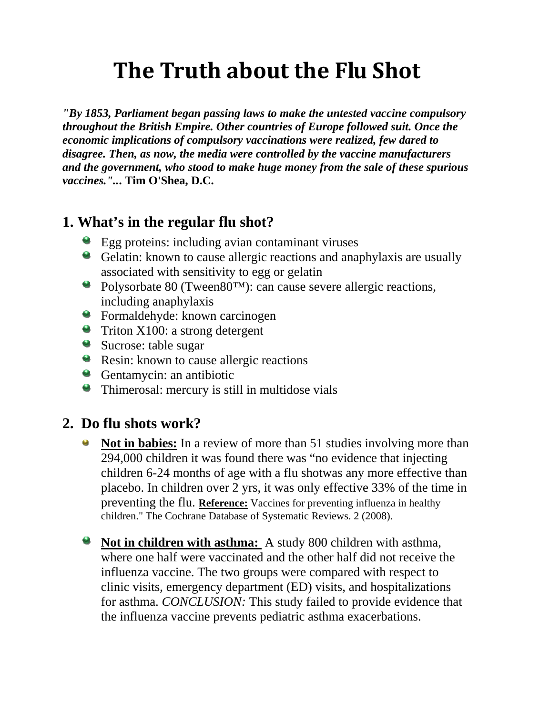## **The Truth about the Flu Shot**

*"By 1853, Parliament began passing laws to make the untested vaccine compulsory throughout the British Empire. Other countries of Europe followed suit. Once the economic implications of compulsory vaccinations were realized, few dared to disagree. Then, as now, the media were controlled by the vaccine manufacturers and the government, who stood to make huge money from the sale of these spurious vaccines."..***. Tim O'Shea, D.C.**

## **1. What's in the regular flu shot?**

- Egg proteins: including avian contaminant viruses
- Gelatin: known to cause allergic reactions and anaphylaxis are usually associated with sensitivity to egg or gelatin
- Polysorbate 80 (Tween80™): can cause severe allergic reactions, including anaphylaxis
- Formaldehyde: known carcinogen
- **Triton X100: a strong detergent**
- Sucrose: table sugar
- **Resin:** known to cause allergic reactions
- Gentamycin: an antibiotic
- Thimerosal: mercury is still in multidose vials

### **2. Do flu shots work?**

- **Not in babies:** In a review of more than 51 studies involving more than 294,000 children it was found there was "no evidence that injecting children 6-24 months of age with a flu shotwas any more effective than placebo. In children over 2 yrs, it was only effective 33% of the time in preventing the flu. **Reference:** Vaccines for preventing influenza in healthy children." The Cochrane Database of Systematic Reviews. 2 (2008).
- **Not in children with asthma:** A study 800 children with asthma, where one half were vaccinated and the other half did not receive the influenza vaccine. The two groups were compared with respect to clinic visits, emergency department (ED) visits, and hospitalizations for asthma. *CONCLUSION:* This study failed to provide evidence that the influenza vaccine prevents pediatric asthma exacerbations.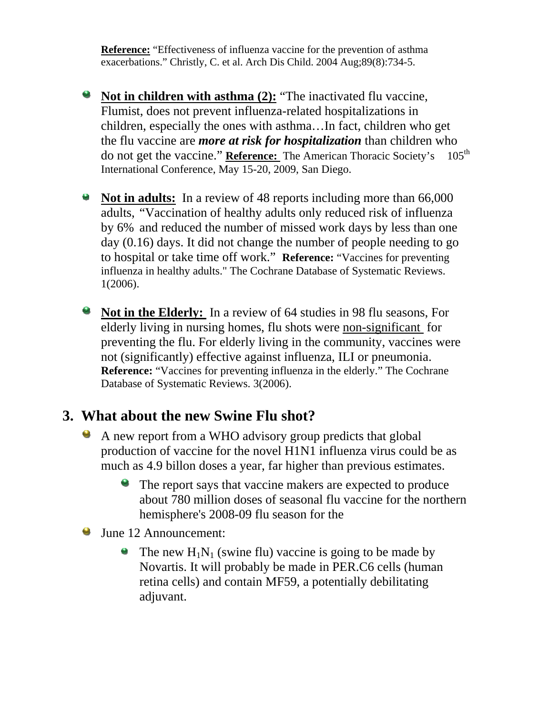**Reference:** "Effectiveness of influenza vaccine for the prevention of asthma exacerbations." Christly, C. et al. Arch Dis Child. 2004 Aug;89(8):734-5.

- **Not in children with asthma (2):** "The inactivated flu vaccine, Flumist, does not prevent influenza-related hospitalizations in children, especially the ones with asthma…In fact, children who get the flu vaccine are *more at risk for hospitalization* than children who do not get the vaccine." **Reference:** The American Thoracic Society's 105<sup>th</sup> International Conference, May 15-20, 2009, San Diego.
- **Not in adults:** In a review of 48 reports including more than 66,000 adults, "Vaccination of healthy adults only reduced risk of influenza by 6% and reduced the number of missed work days by less than one day (0.16) days. It did not change the number of people needing to go to hospital or take time off work." **Reference:** "Vaccines for preventing influenza in healthy adults." The Cochrane Database of Systematic Reviews. 1(2006).
- 9 **Not in the Elderly:** In a review of 64 studies in 98 flu seasons, For elderly living in nursing homes, flu shots were non-significant for preventing the flu. For elderly living in the community, vaccines were not (significantly) effective against influenza, ILI or pneumonia. **Reference:** "Vaccines for preventing influenza in the elderly." The Cochrane Database of Systematic Reviews. 3(2006).

### **3. What about the new Swine Flu shot?**

- A new report from a WHO advisory group predicts that global  $\bullet$ production of vaccine for the novel H1N1 influenza virus could be as much as 4.9 billon doses a year, far higher than previous estimates.
	- The report says that vaccine makers are expected to produce about 780 million doses of seasonal flu vaccine for the northern hemisphere's 2008-09 flu season for the
- **June 12 Announcement:** 
	- The new  $H_1N_1$  (swine flu) vaccine is going to be made by Novartis. It will probably be made in PER.C6 cells (human retina cells) and contain MF59, a potentially debilitating adjuvant.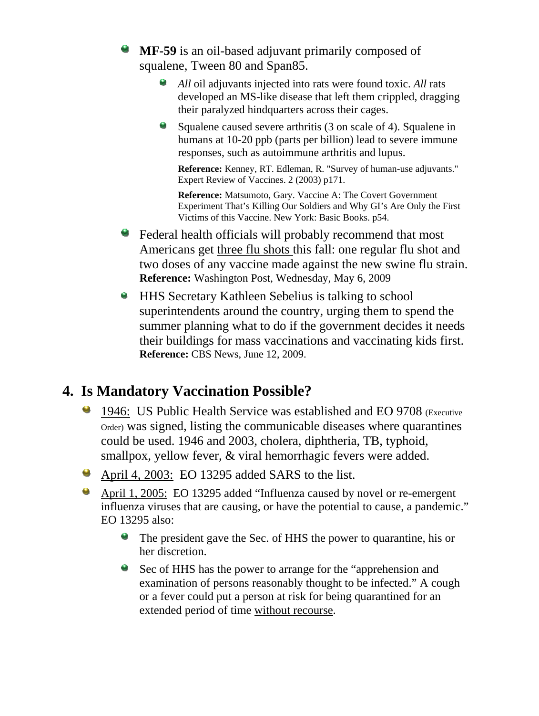- **MF-59** is an oil-based adjuvant primarily composed of squalene, Tween 80 and Span85.
	- $\bullet$ *All* oil adjuvants injected into rats were found toxic. *All* rats developed an MS-like disease that left them crippled, dragging their paralyzed hindquarters across their cages.
	- Squalene caused severe arthritis (3 on scale of 4). Squalene in humans at 10-20 ppb (parts per billion) lead to severe immune responses, such as autoimmune arthritis and lupus.

**Reference:** Kenney, RT. Edleman, R. "Survey of human-use adjuvants." Expert Review of Vaccines. 2 (2003) p171.

**Reference:** Matsumoto, Gary. Vaccine A: The Covert Government Experiment That's Killing Our Soldiers and Why GI's Are Only the First Victims of this Vaccine. New York: Basic Books. p54.

- Federal health officials will probably recommend that most Americans get three flu shots this fall: one regular flu shot and two doses of any vaccine made against the new swine flu strain. **Reference:** Washington Post, Wednesday, May 6, 2009
- **HHS Secretary Kathleen Sebelius is talking to school** superintendents around the country, urging them to spend the summer planning what to do if the government decides it needs their buildings for mass vaccinations and vaccinating kids first. **Reference:** CBS News, June 12, 2009.

### **4. Is Mandatory Vaccination Possible?**

- <sup>1</sup> 1946: US Public Health Service was established and EO 9708 (Executive Order) was signed, listing the communicable diseases where quarantines could be used. 1946 and 2003, cholera, diphtheria, TB, typhoid, smallpox, yellow fever,  $\&$  viral hemorrhagic fevers were added.
- April 4, 2003: EO 13295 added SARS to the list.
- April 1, 2005: EO 13295 added "Influenza caused by novel or re-emergent influenza viruses that are causing, or have the potential to cause, a pandemic." EO 13295 also:
	- The president gave the Sec. of HHS the power to quarantine, his or her discretion.
	- Sec of HHS has the power to arrange for the "apprehension and examination of persons reasonably thought to be infected." A cough or a fever could put a person at risk for being quarantined for an extended period of time without recourse.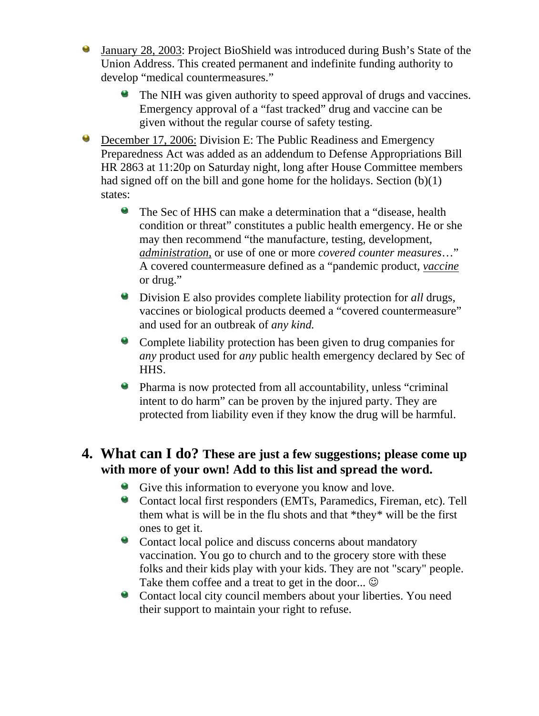- O. January 28, 2003: Project BioShield was introduced during Bush's State of the Union Address. This created permanent and indefinite funding authority to develop "medical countermeasures."
	- The NIH was given authority to speed approval of drugs and vaccines. S. Emergency approval of a "fast tracked" drug and vaccine can be given without the regular course of safety testing.
- December 17, 2006: Division E: The Public Readiness and Emergency Preparedness Act was added as an addendum to Defense Appropriations Bill HR 2863 at 11:20p on Saturday night, long after House Committee members had signed off on the bill and gone home for the holidays. Section (b)(1) states:
	- The Sec of HHS can make a determination that a "disease, health condition or threat" constitutes a public health emergency. He or she may then recommend "the manufacture, testing, development, *administration,* or use of one or more *covered counter measures*…" A covered countermeasure defined as a "pandemic product, *vaccine* or drug."
	- Division E also provides complete liability protection for *all* drugs, vaccines or biological products deemed a "covered countermeasure" and used for an outbreak of *any kind.*
	- Complete liability protection has been given to drug companies for *any* product used for *any* public health emergency declared by Sec of HHS.
	- Pharma is now protected from all accountability, unless "criminal intent to do harm" can be proven by the injured party. They are protected from liability even if they know the drug will be harmful.

#### **4. What can I do? These are just a few suggestions; please come up with more of your own! Add to this list and spread the word.**

- Give this information to everyone you know and love.
- Contact local first responders (EMTs, Paramedics, Fireman, etc). Tell them what is will be in the flu shots and that \*they\* will be the first ones to get it.
- Contact local police and discuss concerns about mandatory vaccination. You go to church and to the grocery store with these folks and their kids play with your kids. They are not "scary" people. Take them coffee and a treat to get in the door...  $\odot$
- **Contact local city council members about your liberties. You need** their support to maintain your right to refuse.